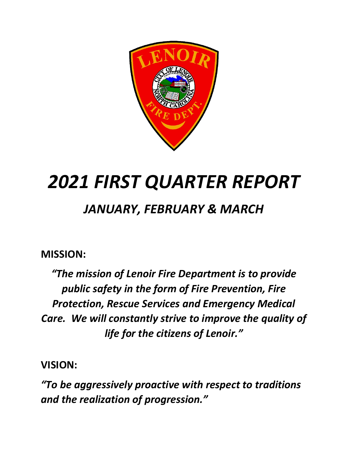

# *2021 FIRST QUARTER REPORT*

## *JANUARY, FEBRUARY & MARCH*

### **MISSION:**

*"The mission of Lenoir Fire Department is to provide public safety in the form of Fire Prevention, Fire Protection, Rescue Services and Emergency Medical Care. We will constantly strive to improve the quality of life for the citizens of Lenoir."*

**VISION:**

*"To be aggressively proactive with respect to traditions and the realization of progression."*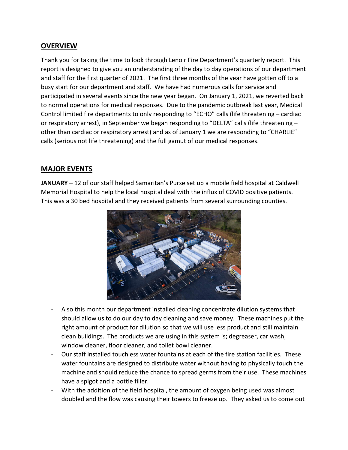#### **OVERVIEW**

Thank you for taking the time to look through Lenoir Fire Department's quarterly report. This report is designed to give you an understanding of the day to day operations of our department and staff for the first quarter of 2021. The first three months of the year have gotten off to a busy start for our department and staff. We have had numerous calls for service and participated in several events since the new year began. On January 1, 2021, we reverted back to normal operations for medical responses. Due to the pandemic outbreak last year, Medical Control limited fire departments to only responding to "ECHO" calls (life threatening – cardiac or respiratory arrest), in September we began responding to "DELTA" calls (life threatening – other than cardiac or respiratory arrest) and as of January 1 we are responding to "CHARLIE" calls (serious not life threatening) and the full gamut of our medical responses.

#### **MAJOR EVENTS**

**JANUARY** – 12 of our staff helped Samaritan's Purse set up a mobile field hospital at Caldwell Memorial Hospital to help the local hospital deal with the influx of COVID positive patients. This was a 30 bed hospital and they received patients from several surrounding counties.



- Also this month our department installed cleaning concentrate dilution systems that should allow us to do our day to day cleaning and save money. These machines put the right amount of product for dilution so that we will use less product and still maintain clean buildings. The products we are using in this system is; degreaser, car wash, window cleaner, floor cleaner, and toilet bowl cleaner.
- Our staff installed touchless water fountains at each of the fire station facilities. These water fountains are designed to distribute water without having to physically touch the machine and should reduce the chance to spread germs from their use. These machines have a spigot and a bottle filler.
- With the addition of the field hospital, the amount of oxygen being used was almost doubled and the flow was causing their towers to freeze up. They asked us to come out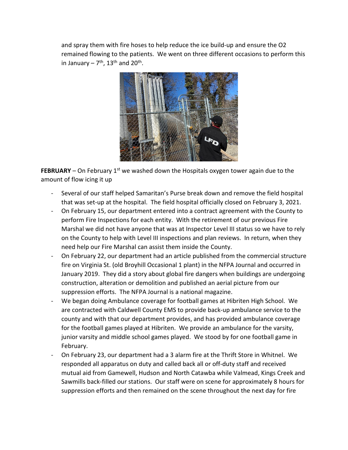and spray them with fire hoses to help reduce the ice build-up and ensure the O2 remained flowing to the patients. We went on three different occasions to perform this in January –  $7<sup>th</sup>$ , 13<sup>th</sup> and 20<sup>th</sup>.



**FEBRUARY** – On February 1<sup>st</sup> we washed down the Hospitals oxygen tower again due to the amount of flow icing it up

- Several of our staff helped Samaritan's Purse break down and remove the field hospital that was set-up at the hospital. The field hospital officially closed on February 3, 2021.
- On February 15, our department entered into a contract agreement with the County to perform Fire Inspections for each entity. With the retirement of our previous Fire Marshal we did not have anyone that was at Inspector Level III status so we have to rely on the County to help with Level III inspections and plan reviews. In return, when they need help our Fire Marshal can assist them inside the County.
- On February 22, our department had an article published from the commercial structure fire on Virginia St. (old Broyhill Occasional 1 plant) in the NFPA Journal and occurred in January 2019. They did a story about global fire dangers when buildings are undergoing construction, alteration or demolition and published an aerial picture from our suppression efforts. The NFPA Journal is a national magazine.
- We began doing Ambulance coverage for football games at Hibriten High School. We are contracted with Caldwell County EMS to provide back-up ambulance service to the county and with that our department provides, and has provided ambulance coverage for the football games played at Hibriten. We provide an ambulance for the varsity, junior varsity and middle school games played. We stood by for one football game in February.
- On February 23, our department had a 3 alarm fire at the Thrift Store in Whitnel. We responded all apparatus on duty and called back all or off-duty staff and received mutual aid from Gamewell, Hudson and North Catawba while Valmead, Kings Creek and Sawmills back-filled our stations. Our staff were on scene for approximately 8 hours for suppression efforts and then remained on the scene throughout the next day for fire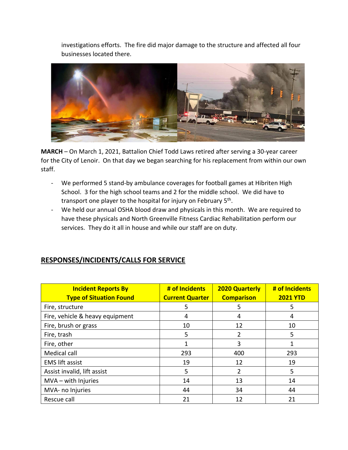investigations efforts. The fire did major damage to the structure and affected all four businesses located there.



**MARCH** – On March 1, 2021, Battalion Chief Todd Laws retired after serving a 30-year career for the City of Lenoir. On that day we began searching for his replacement from within our own staff.

- We performed 5 stand-by ambulance coverages for football games at Hibriten High School. 3 for the high school teams and 2 for the middle school. We did have to transport one player to the hospital for injury on February 5<sup>th</sup>.
- We held our annual OSHA blood draw and physicals in this month. We are required to have these physicals and North Greenville Fitness Cardiac Rehabilitation perform our services. They do it all in house and while our staff are on duty.

#### **RESPONSES/INCIDENTS/CALLS FOR SERVICE**

| <b>Incident Reports By</b><br><b>Type of Situation Found</b> | # of Incidents<br><b>Current Quarter</b> | <b>2020 Quarterly</b><br><b>Comparison</b> | # of Incidents<br><b>2021 YTD</b> |
|--------------------------------------------------------------|------------------------------------------|--------------------------------------------|-----------------------------------|
| Fire, structure                                              | 5                                        | 5                                          | 5                                 |
| Fire, vehicle & heavy equipment                              | 4                                        | 4                                          | 4                                 |
| Fire, brush or grass                                         | 10                                       | 12                                         | 10                                |
| Fire, trash                                                  | 5                                        | 2                                          | 5                                 |
| Fire, other                                                  |                                          | 3                                          | 1                                 |
| Medical call                                                 | 293                                      | 400                                        | 293                               |
| <b>EMS lift assist</b>                                       | 19                                       | 12                                         | 19                                |
| Assist invalid, lift assist                                  | 5                                        | 2                                          | 5                                 |
| $MVA - with Injuries$                                        | 14                                       | 13                                         | 14                                |
| MVA- no Injuries                                             | 44                                       | 34                                         | 44                                |
| Rescue call                                                  | 21                                       | 12                                         | 21                                |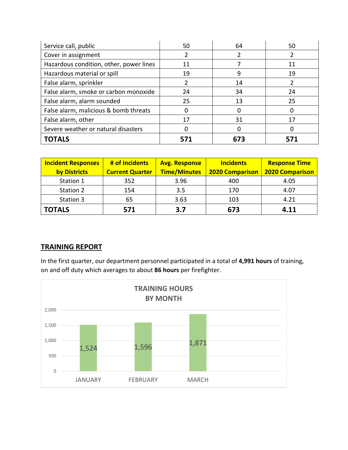| Service call, public                    | 50  | 64  | 50  |
|-----------------------------------------|-----|-----|-----|
| Cover in assignment                     |     |     |     |
| Hazardous condition, other, power lines | 11  |     | 11  |
| Hazardous material or spill             | 19  | 9   | 19  |
| False alarm, sprinkler                  |     | 14  |     |
| False alarm, smoke or carbon monoxide   | 24  | 34  | 24  |
| False alarm, alarm sounded              | 25  | 13  | 25  |
| False alarm, malicious & bomb threats   |     |     | Ω   |
| False alarm, other                      | 17  | 31  | 17  |
| Severe weather or natural disasters     |     |     |     |
| <b>TOTALS</b>                           | 571 | 673 | 571 |

| <b>Incident Responses</b> | # of Incidents         | <b>Avg. Response</b> | <b>Incidents</b>       | <b>Response Time</b>   |
|---------------------------|------------------------|----------------------|------------------------|------------------------|
| by Districts              | <b>Current Quarter</b> | <b>Time/Minutes</b>  | <b>2020 Comparison</b> | <b>2020 Comparison</b> |
| Station 1                 | 352                    | 3.96                 | 400                    | 4.05                   |
| Station 2                 | 154                    | 3.5                  | 170                    | 4.07                   |
| Station 3                 | 65                     | 3.63                 | 103                    | 4.21                   |
| <b>TOTALS</b>             | 571                    | 3.7                  | 673                    | 4.11                   |

#### **TRAINING REPORT**

In the first quarter, our department personnel participated in a total of **4,991 hours** of training, on and off duty which averages to about **86 hours** per firefighter.

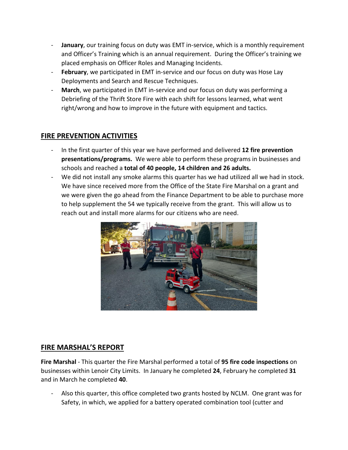- **January**, our training focus on duty was EMT in-service, which is a monthly requirement and Officer's Training which is an annual requirement. During the Officer's training we placed emphasis on Officer Roles and Managing Incidents.
- February, we participated in EMT in-service and our focus on duty was Hose Lay Deployments and Search and Rescue Techniques.
- March, we participated in EMT in-service and our focus on duty was performing a Debriefing of the Thrift Store Fire with each shift for lessons learned, what went right/wrong and how to improve in the future with equipment and tactics.

#### **FIRE PREVENTION ACTIVITIES**

- In the first quarter of this year we have performed and delivered **12 fire prevention presentations/programs.** We were able to perform these programs in businesses and schools and reached a **total of 40 people, 14 children and 26 adults.**
- We did not install any smoke alarms this quarter has we had utilized all we had in stock. We have since received more from the Office of the State Fire Marshal on a grant and we were given the go ahead from the Finance Department to be able to purchase more to help supplement the 54 we typically receive from the grant. This will allow us to reach out and install more alarms for our citizens who are need.



#### **FIRE MARSHAL'S REPORT**

**Fire Marshal** - This quarter the Fire Marshal performed a total of **95 fire code inspections** on businesses within Lenoir City Limits. In January he completed **24**, February he completed **31** and in March he completed **40**.

Also this quarter, this office completed two grants hosted by NCLM. One grant was for Safety, in which, we applied for a battery operated combination tool (cutter and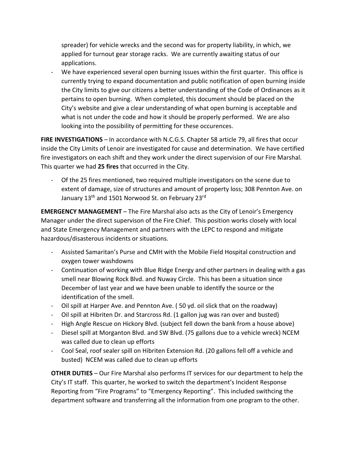spreader) for vehicle wrecks and the second was for property liability, in which, we applied for turnout gear storage racks. We are currently awaiting status of our applications.

- We have experienced several open burning issues within the first quarter. This office is currently trying to expand documentation and public notification of open burning inside the City limits to give our citizens a better understanding of the Code of Ordinances as it pertains to open burning. When completed, this document should be placed on the City's website and give a clear understanding of what open burning is acceptable and what is not under the code and how it should be properly performed. We are also looking into the possibility of permitting for these occurences.

**FIRE INVESTIGATIONS** – In accordance with N.C.G.S. Chapter 58 article 79, all fires that occur inside the City Limits of Lenoir are investigated for cause and determination. We have certified fire investigators on each shift and they work under the direct supervision of our Fire Marshal. This quarter we had **25 fires** that occurred in the City.

- Of the 25 fires mentioned, two required multiple investigators on the scene due to extent of damage, size of structures and amount of property loss; 308 Pennton Ave. on January 13<sup>th</sup> and 1501 Norwood St. on February 23rd

**EMERGENCY MANAGEMENT** – The Fire Marshal also acts as the City of Lenoir's Emergency Manager under the direct supervison of the Fire Chief. This position works closely with local and State Emergency Management and partners with the LEPC to respond and mitigate hazardous/disasterous incidents or situations.

- Assisted Samaritan's Purse and CMH with the Mobile Field Hospital construction and oxygen tower washdowns
- Continuation of working with Blue Ridge Energy and other partners in dealing with a gas smell near Blowing Rock Blvd. and Nuway Circle. This has been a situation since December of last year and we have been unable to identlfy the source or the identification of the smell.
- Oil spill at Harper Ave. and Pennton Ave. ( 50 yd. oil slick that on the roadway)
- Oil spill at Hibriten Dr. and Starcross Rd. (1 gallon jug was ran over and busted)
- High Angle Rescue on Hickory Blvd. (subject fell down the bank from a house above)
- Diesel spill at Morganton Blvd. and SW Blvd. (75 gallons due to a vehicle wreck) NCEM was called due to clean up efforts
- Cool Seal, roof sealer spill on Hibriten Extension Rd. (20 gallons fell off a vehicle and busted) NCEM was called due to clean up efforts

**OTHER DUTIES** – Our Fire Marshal also performs IT services for our department to help the City's IT staff. This quarter, he worked to switch the department's Incident Response Reporting from "Fire Programs" to "Emergency Reporting". This included swithcing the department software and transferring all the information from one program to the other.